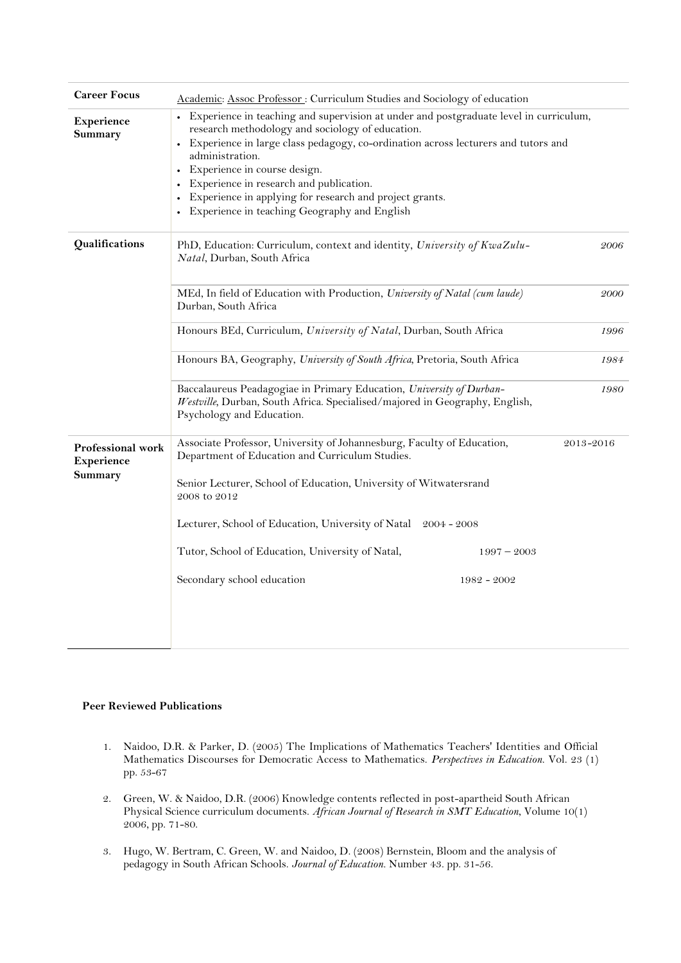| <b>Career Focus</b>                        | Academic: Assoc Professor: Curriculum Studies and Sociology of education                                                                                                                                                                                                                                                                                                                                                                  |           |
|--------------------------------------------|-------------------------------------------------------------------------------------------------------------------------------------------------------------------------------------------------------------------------------------------------------------------------------------------------------------------------------------------------------------------------------------------------------------------------------------------|-----------|
| Experience<br>Summary                      | • Experience in teaching and supervision at under and postgraduate level in curriculum,<br>research methodology and sociology of education.<br>Experience in large class pedagogy, co-ordination across lecturers and tutors and<br>administration.<br>Experience in course design.<br>Experience in research and publication.<br>Experience in applying for research and project grants.<br>Experience in teaching Geography and English |           |
| Qualifications                             | PhD, Education: Curriculum, context and identity, University of KwaZulu-<br>Natal, Durban, South Africa                                                                                                                                                                                                                                                                                                                                   | 2006      |
|                                            | MEd, In field of Education with Production, University of Natal (cum laude)<br>Durban, South Africa                                                                                                                                                                                                                                                                                                                                       | 2000      |
|                                            | Honours BEd, Curriculum, University of Natal, Durban, South Africa                                                                                                                                                                                                                                                                                                                                                                        | 1996      |
|                                            | Honours BA, Geography, University of South Africa, Pretoria, South Africa                                                                                                                                                                                                                                                                                                                                                                 | 1984      |
|                                            | Baccalaureus Peadagogiae in Primary Education, University of Durban-<br>Westville, Durban, South Africa. Specialised/majored in Geography, English,<br>Psychology and Education.                                                                                                                                                                                                                                                          | 1980      |
| Professional work<br>Experience<br>Summary | Associate Professor, University of Johannesburg, Faculty of Education,<br>Department of Education and Curriculum Studies.<br>Senior Lecturer, School of Education, University of Witwatersrand<br>2008 to 2012<br>Lecturer, School of Education, University of Natal 2004 - 2008<br>Tutor, School of Education, University of Natal,<br>$1997 - 2003$<br>Secondary school education<br>1982 - 2002                                        | 2013-2016 |
|                                            |                                                                                                                                                                                                                                                                                                                                                                                                                                           |           |

## **Peer Reviewed Publications**

- 1. Naidoo, D.R. & Parker, D. (2005) The Implications of Mathematics Teachers' Identities and Official Mathematics Discourses for Democratic Access to Mathematics. *Perspectives in Education*. Vol. 23 (1) pp. 53-67
- 2. Green, W. & Naidoo, D.R. (2006) Knowledge contents reflected in post-apartheid South African Physical Science curriculum documents. *African Journal of Research in SMT Education*, Volume 10(1) 2006, pp. 71-80.
- 3. Hugo, W. Bertram, C. Green, W. and Naidoo, D. (2008) Bernstein, Bloom and the analysis of pedagogy in South African Schools. *Journal of Education.* Number 43. pp. 31-56.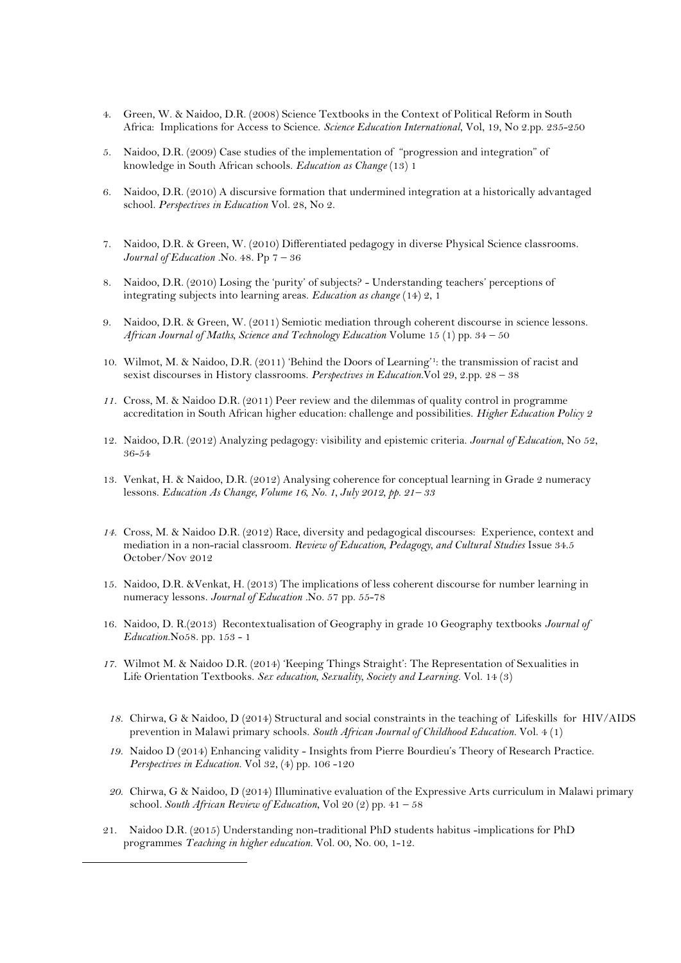- 4. Green, W. & Naidoo, D.R. (2008) Science Textbooks in the Context of Political Reform in South Africa: Implications for Access to Science. *Science Education International*, Vol, 19, No 2.pp. 235-250
- 5. Naidoo, D.R. (2009) Case studies of the implementation of "progression and integration" of knowledge in South African schools. *Education as Change* (13) 1
- 6. Naidoo, D.R. (2010) A discursive formation that undermined integration at a historically advantaged school. *Perspectives in Education* Vol. 28, No 2.
- 7. Naidoo, D.R. & Green, W. (2010) Differentiated pedagogy in diverse Physical Science classrooms. *Journal of Education .*No. 48. Pp 7 – 36
- 8. Naidoo, D.R. (2010) Losing the 'purity' of subjects? Understanding teachers' perceptions of integrating subjects into learning areas. *Education as change* (14) 2, 1
- 9. Naidoo, D.R. & Green, W. (2011) Semiotic mediation through coherent discourse in science lessons. *African Journal of Maths, Science and Technology Education* Volume 15 (1) pp. 34 – 50
- 10. Wilmot, M. & Naidoo, D.R. (2011) 'Behind the Doors of Learning'<sup>1</sup> : the transmission of racist and sexist discourses in History classrooms. *Perspectives in Education.*Vol 29, 2.pp. 28 – 38
- *11.* Cross, M. & Naidoo D.R. (2011) Peer review and the dilemmas of quality control in programme accreditation in South African higher education: challenge and possibilities. *Higher Education Policy 2*
- 12. Naidoo, D.R. (2012) Analyzing pedagogy: visibility and epistemic criteria. *Journal of Education*, No 52, 36-54
- 13. Venkat, H. & Naidoo, D.R. (2012) Analysing coherence for conceptual learning in Grade 2 numeracy lessons. *Education As Change, Volume 16, No. 1, July 2012, pp. 21– 33*
- *14.* Cross, M. & Naidoo D.R. (2012) Race, diversity and pedagogical discourses: Experience, context and mediation in a non-racial classroom. *Review of Education, Pedagogy, and Cultural Studies* Issue 34.5 October/Nov 2012
- 15. Naidoo, D.R. &Venkat, H. (2013) The implications of less coherent discourse for number learning in numeracy lessons. *Journal of Education .*No. 57 pp. 55-78
- 16. Naidoo, D. R.(2013) Recontextualisation of Geography in grade 10 Geography textbooks *Journal of Education.*No58. pp. 153 - 1
- *17.* Wilmot M. & Naidoo D.R. (2014) 'Keeping Things Straight': The Representation of Sexualities in Life Orientation Textbooks. *Sex education, Sexuality, Society and Learning.* Vol. 14 (3)
- *18.* Chirwa, G & Naidoo, D (2014) Structural and social constraints in the teaching of Lifeskills for HIV/AIDS prevention in Malawi primary schools. *South African Journal of Childhood Education.* Vol. 4 (1)
- *19.* Naidoo D (2014) Enhancing validity Insights from Pierre Bourdieu's Theory of Research Practice. *Perspectives in Education.* Vol 32, (4) pp. 106 -120
- *20.* Chirwa, G & Naidoo, D (2014) Illuminative evaluation of the Expressive Arts curriculum in Malawi primary school*. South African Review of Education*, Vol 20 (2) pp. 41 – 58
- 21. Naidoo D.R. (2015) Understanding non-traditional PhD students habitus -implications for PhD programmes *Teaching in higher education.* Vol. 00, No. 00, 1-12.

-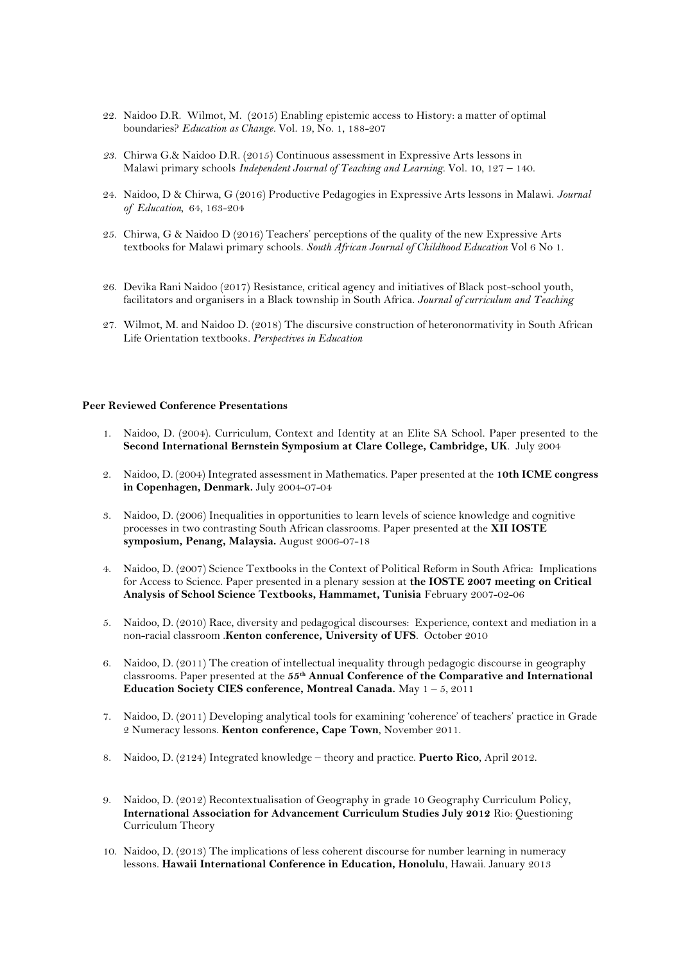- 22. Naidoo D.R. Wilmot, M. (2015) Enabling epistemic access to History: a matter of optimal boundaries? *Education as Change.* Vol. 19, No. 1, 188-207
- *23.* Chirwa G.& Naidoo D.R. (2015) Continuous assessment in Expressive Arts lessons in Malawi primary schools *Independent Journal of Teaching and Learning.* Vol. 10, 127 – 140.
- 24. Naidoo, D & Chirwa, G (2016) Productive Pedagogies in Expressive Arts lessons in Malawi. *Journal of Education,* 64, 163-204
- 25. Chirwa, G & Naidoo D (2016) Teachers' perceptions of the quality of the new Expressive Arts textbooks for Malawi primary schools. *South African Journal of Childhood Education* Vol 6 No 1.
- 26. Devika Rani Naidoo (2017) Resistance, critical agency and initiatives of Black post-school youth, facilitators and organisers in a Black township in South Africa. *Journal of curriculum and Teaching*
- 27. Wilmot, M. and Naidoo D. (2018) The discursive construction of heteronormativity in South African Life Orientation textbooks*. Perspectives in Education*

## **Peer Reviewed Conference Presentations**

- 1. Naidoo, D. (2004). Curriculum, Context and Identity at an Elite SA School. Paper presented to the **Second International Bernstein Symposium at Clare College, Cambridge, UK**. July 2004
- 2. Naidoo, D. (2004) Integrated assessment in Mathematics. Paper presented at the **10th ICME congress in Copenhagen, Denmark.** July 2004-07-04
- 3. Naidoo, D. (2006) Inequalities in opportunities to learn levels of science knowledge and cognitive processes in two contrasting South African classrooms. Paper presented at the **XII IOSTE symposium, Penang, Malaysia.** August 2006-07-18
- 4. Naidoo, D. (2007) Science Textbooks in the Context of Political Reform in South Africa: Implications for Access to Science. Paper presented in a plenary session at **the IOSTE 2007 meeting on Critical Analysis of School Science Textbooks, Hammamet, Tunisia** February 2007-02-06
- 5. Naidoo, D. (2010) Race, diversity and pedagogical discourses: Experience, context and mediation in a non-racial classroom .**Kenton conference, University of UFS**. October 2010
- 6. Naidoo, D. (2011) The creation of intellectual inequality through pedagogic discourse in geography classrooms. Paper presented at the **55th Annual Conference of the Comparative and International Education Society CIES conference, Montreal Canada.** May 1 – 5, 2011
- 7. Naidoo, D. (2011) Developing analytical tools for examining 'coherence' of teachers' practice in Grade 2 Numeracy lessons. **Kenton conference, Cape Town**, November 2011.
- 8. Naidoo, D. (2124) Integrated knowledge theory and practice. **Puerto Rico**, April 2012.
- 9. Naidoo, D. (2012) Recontextualisation of Geography in grade 10 Geography Curriculum Policy, **International Association for Advancement Curriculum Studies July 2012** Rio: Questioning Curriculum Theory
- 10. Naidoo, D. (2013) The implications of less coherent discourse for number learning in numeracy lessons. **Hawaii International Conference in Education, Honolulu**, Hawaii. January 2013